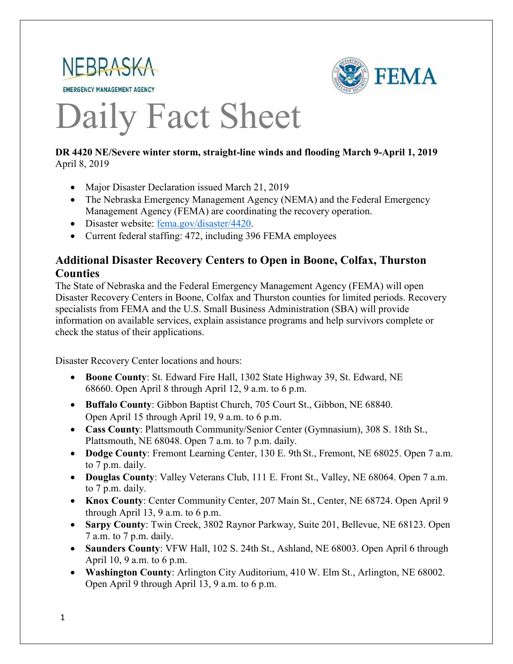



# Daily Fact Sheet

#### **DR 4420 NE/Severe winter storm, straight-line winds and flooding March 9-April 1, 2019**  April 8, 2019

- Major Disaster Declaration issued March 21, 2019
- The Nebraska Emergency Management Agency (NEMA) and the Federal Emergency Management Agency (FEMA) are coordinating the recovery operation.
- Disaster website: [fema.gov/disaster/4420.](https://www.fema.gov/disaster/4420)
- Current federal staffing: 472, including 396 FEMA employees

### **Additional Disaster Recovery Centers to Open in Boone, Colfax, Thurston Counties**

The State of Nebraska and the Federal Emergency Management Agency (FEMA) will open Disaster Recovery Centers in Boone, Colfax and Thurston counties for limited periods. Recovery specialists from FEMA and the U.S. Small Business Administration (SBA) will provide information on available services, explain assistance programs and help survivors complete or check the status of their applications.

Disaster Recovery Center locations and hours:

- **Boone County**: St. Edward Fire Hall, 1302 State Highway 39, St. Edward, NE 68660. Open April 8 through April 12, 9 a.m. to 6 p.m.
- **Buffalo County**: Gibbon Baptist Church, 705 Court St., Gibbon, NE 68840. Open April 15 through April 19, 9 a.m. to 6 p.m.
- **Cass County**: Plattsmouth Community/Senior Center (Gymnasium), 308 S. 18th St., Plattsmouth, NE 68048. Open 7 a.m. to 7 p.m. daily.
- **Dodge County**: Fremont Learning Center, 130 E. 9th St., Fremont, NE 68025. Open 7 a.m. to 7 p.m. daily.
- **Douglas County**: Valley Veterans Club, 111 E. Front St., Valley, NE 68064. Open 7 a.m. to 7 p.m. daily.
- **Knox County**: Center Community Center, 207 Main St., Center, NE 68724. Open April 9 through April 13, 9 a.m. to 6 p.m.
- **Sarpy County**: Twin Creek, 3802 Raynor Parkway, Suite 201, Bellevue, NE 68123. Open 7 a.m. to 7 p.m. daily.
- **Saunders County**: VFW Hall, 102 S. 24th St., Ashland, NE 68003. Open April 6 through April 10, 9 a.m. to 6 p.m.
- **Washington County**: Arlington City Auditorium, 410 W. Elm St., Arlington, NE 68002. Open April 9 through April 13, 9 a.m. to 6 p.m.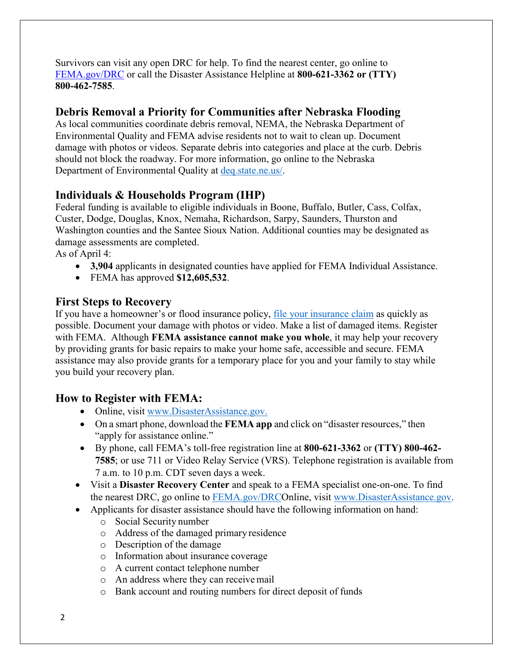Survivors can visit any open DRC for help. To find the nearest center, go online to [FEMA.gov/DRC](http://www.fema.gov/DRC) or call the Disaster Assistance Helpline at **800-621-3362 or (TTY) 800-462-7585**.

### **Debris Removal a Priority for Communities after Nebraska Flooding**

As local communities coordinate debris removal, NEMA, the Nebraska Department of Environmental Quality and FEMA advise residents not to wait to clean up. Document damage with photos or videos. Separate debris into categories and place at the curb. Debris should not block the roadway. For more information, go online to the Nebraska Department of Environmental Quality at [deq.state.ne.us/.](http://www.deq.state.ne.us/)

## **Individuals & Households Program (IHP)**

Federal funding is available to eligible individuals in Boone, Buffalo, Butler, Cass, Colfax, Custer, Dodge, Douglas, Knox, Nemaha, Richardson, Sarpy, Saunders, Thurston and Washington counties and the Santee Sioux Nation. Additional counties may be designated as damage assessments are completed.

As of April 4:

- **3,904** applicants in designated counties have applied for FEMA Individual Assistance.
- FEMA has approved **\$12,605,532**.

#### **First Steps to Recovery**

If you have a homeowner's or flood insurance policy, [file your insurance claim](https://www.fema.gov/media-library-data/1508950641147-55cd79e196bc6ea15aba1c69bb9f1cef/FINAL_ClaimsHandbook.pdf) as quickly as possible. Document your damage with photos or video. Make a list of damaged items. Register with FEMA. Although **FEMA assistance cannot make you whole**, it may help your recovery by providing grants for basic repairs to make your home safe, accessible and secure. FEMA assistance may also provide grants for a temporary place for you and your family to stay while you build your recovery plan.

### **How to Register with FEMA:**

- Online, visit [www.DisasterAssistance.gov.](http://www.disasterassistance.gov/)
- On a smart phone, download the **FEMA app** and click on "disaster resources," then "apply for assistance online."
- By phone, call FEMA's toll-free registration line at **800-621-3362** or **(TTY) 800-462- 7585**; or use 711 or Video Relay Service (VRS). Telephone registration is available from 7 a.m. to 10 p.m. CDT seven days a week.
- Visit a **Disaster Recovery Center** and speak to a FEMA specialist one-on-one. To find the nearest DRC, go online to [FEMA.gov/DRCO](http://www.fema.gov/DRC)nline, visit [www.DisasterAssistance.gov.](http://www.disasterassistance.gov/)
- Applicants for disaster assistance should have the following information on hand:
	- o Social Security number
	- o Address of the damaged primary residence
	- o Description of the damage
	- o Information about insurance coverage
	- o A current contact telephone number
	- o An address where they can receivemail
	- o Bank account and routing numbers for direct deposit of funds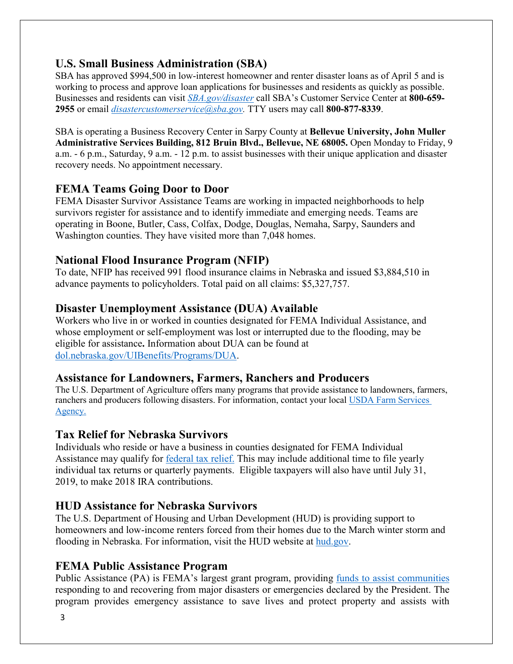# **U.S. Small Business Administration (SBA)**

SBA has approved \$994,500 in low-interest homeowner and renter disaster loans as of April 5 and is working to process and approve loan applications for businesses and residents as quickly as possible. Businesses and residents can visit *[SBA.gov/disaster](http://www.sba.gov/disaster)* call SBA's Customer Service Center at **800-659- 2955** or email *[disastercustomerservice@sba.gov.](mailto:disastercustomerservice@sba.gov)* TTY users may call **800-877-8339**.

SBA is operating a Business Recovery Center in Sarpy County at **Bellevue University, John Muller Administrative Services Building, 812 Bruin Blvd., Bellevue, NE 68005.** Open Monday to Friday, 9 a.m. - 6 p.m., Saturday, 9 a.m. - 12 p.m. to assist businesses with their unique application and disaster recovery needs. No appointment necessary.

### **FEMA Teams Going Door to Door**

FEMA Disaster Survivor Assistance Teams are working in impacted neighborhoods to help survivors register for assistance and to identify immediate and emerging needs. Teams are operating in Boone, Butler, Cass, Colfax, Dodge, Douglas, Nemaha, Sarpy, Saunders and Washington counties. They have visited more than 7,048 homes.

#### **National Flood Insurance Program (NFIP)**

To date, NFIP has received 991 flood insurance claims in Nebraska and issued \$3,884,510 in advance payments to policyholders. Total paid on all claims: \$5,327,757.

### **Disaster Unemployment Assistance (DUA) Available**

Workers who live in or worked in counties designated for FEMA Individual Assistance, and whose employment or self-employment was lost or interrupted due to the flooding, may be eligible for assistance**.** Information about DUA can be found at [dol.nebraska.gov/UIBenefits/Programs/DUA.](https://dol.nebraska.gov/UIBenefits/Programs/DUA)

#### **Assistance for Landowners, Farmers, Ranchers and Producers**

The U.S. Department of Agriculture offers many programs that provide assistance to landowners, farmers, ranchers and producers following disasters. For information, contact your local USDA Farm Services Agency.

### **Tax Relief for Nebraska Survivors**

Individuals who reside or have a business in counties designated for FEMA Individual Assistance may qualify for [federal tax relief.](https://www.irs.gov/newsroom/irs-announces-tax-relief-for-nebraska-victims-of-severe-winter-storm-straight-line-winds-and-flooding) This may include additional time to file yearly individual tax returns or quarterly payments. Eligible taxpayers will also have until July 31, 2019, to make 2018 IRA contributions.

### **HUD Assistance for Nebraska Survivors**

The U.S. Department of Housing and Urban Development (HUD) is providing support to homeowners and low-income renters forced from their homes due to the March winter storm and flooding in Nebraska. For information, visit the HUD website at [hud.gov.](https://www.hud.gov/)

### **FEMA Public Assistance Program**

Public Assistance (PA) is FEMA's largest grant program, providing [funds to assist communities](https://www.fema.gov/public-assistance-policy-and-guidance) responding to and recovering from major disasters or emergencies declared by the President. The program provides emergency assistance to save lives and protect property and assists with